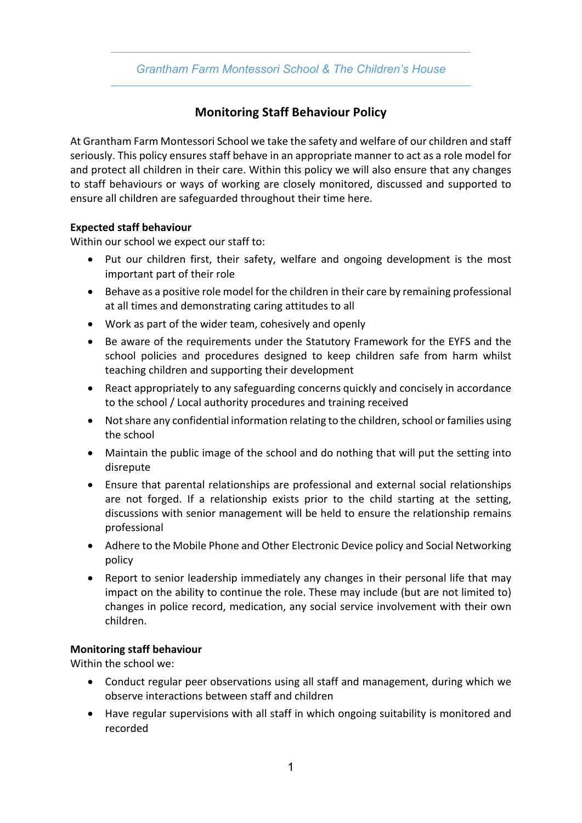## *Grantham Farm Montessori School & The Children's House*

# **Monitoring Staff Behaviour Policy**

At Grantham Farm Montessori School we take the safety and welfare of our children and staff seriously. This policy ensures staff behave in an appropriate manner to act as a role model for and protect all children in their care. Within this policy we will also ensure that any changes to staff behaviours or ways of working are closely monitored, discussed and supported to ensure all children are safeguarded throughout their time here.

#### **Expected staff behaviour**

Within our school we expect our staff to:

- Put our children first, their safety, welfare and ongoing development is the most important part of their role
- Behave as a positive role model for the children in their care by remaining professional at all times and demonstrating caring attitudes to all
- Work as part of the wider team, cohesively and openly
- Be aware of the requirements under the Statutory Framework for the EYFS and the school policies and procedures designed to keep children safe from harm whilst teaching children and supporting their development
- React appropriately to any safeguarding concerns quickly and concisely in accordance to the school / Local authority procedures and training received
- Not share any confidential information relating to the children, school or families using the school
- Maintain the public image of the school and do nothing that will put the setting into disrepute
- Ensure that parental relationships are professional and external social relationships are not forged. If a relationship exists prior to the child starting at the setting, discussions with senior management will be held to ensure the relationship remains professional
- Adhere to the Mobile Phone and Other Electronic Device policy and Social Networking policy
- Report to senior leadership immediately any changes in their personal life that may impact on the ability to continue the role. These may include (but are not limited to) changes in police record, medication, any social service involvement with their own children.

### **Monitoring staff behaviour**

Within the school we:

- Conduct regular peer observations using all staff and management, during which we observe interactions between staff and children
- Have regular supervisions with all staff in which ongoing suitability is monitored and recorded